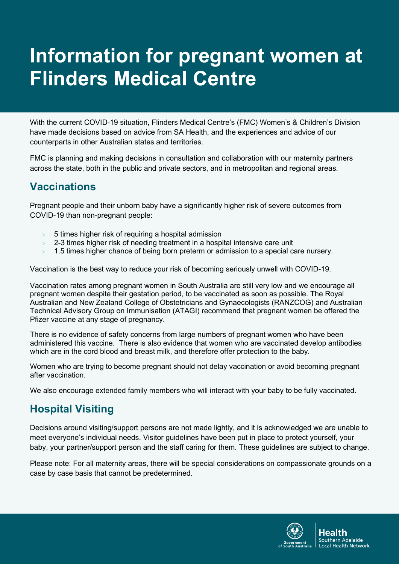# **Information for pregnant women at Flinders Medical Centre**

With the current COVID-19 situation, Flinders Medical Centre's (FMC) Women's & Children's Division have made decisions based on advice from SA Health, and the experiences and advice of our counterparts in other Australian states and territories.

FMC is planning and making decisions in consultation and collaboration with our maternity partners across the state, both in the public and private sectors, and in metropolitan and regional areas.

#### **Vaccinations**

Pregnant people and their unborn baby have a significantly higher risk of severe outcomes from COVID-19 than non-pregnant people:

- $>$  5 times higher risk of requiring a hospital admission
- > 2-3 times higher risk of needing treatment in a hospital intensive care unit
- $>$  1.5 times higher chance of being born preterm or admission to a special care nursery.

Vaccination is the best way to reduce your risk of becoming seriously unwell with COVID-19.

Vaccination rates among pregnant women in South Australia are still very low and we encourage all pregnant women despite their gestation period, to be vaccinated as soon as possible. The Royal Australian and New Zealand College of Obstetricians and Gynaecologists (RANZCOG) and Australian Technical Advisory Group on Immunisation (ATAGI) recommend that pregnant women be offered the Pfizer vaccine at any stage of pregnancy.

There is no evidence of safety concerns from large numbers of pregnant women who have been administered this vaccine. There is also evidence that women who are vaccinated develop antibodies which are in the cord blood and breast milk, and therefore offer protection to the baby.

Women who are trying to become pregnant should not delay vaccination or avoid becoming pregnant after vaccination.

We also encourage extended family members who will interact with your baby to be fully vaccinated.

## **Hospital Visiting**

Decisions around visiting/support persons are not made lightly, and it is acknowledged we are unable to meet everyone's individual needs. Visitor guidelines have been put in place to protect yourself, your baby, your partner/support person and the staff caring for them. These guidelines are subject to change.

Please note: For all maternity areas, there will be special considerations on compassionate grounds on a case by case basis that cannot be predetermined.